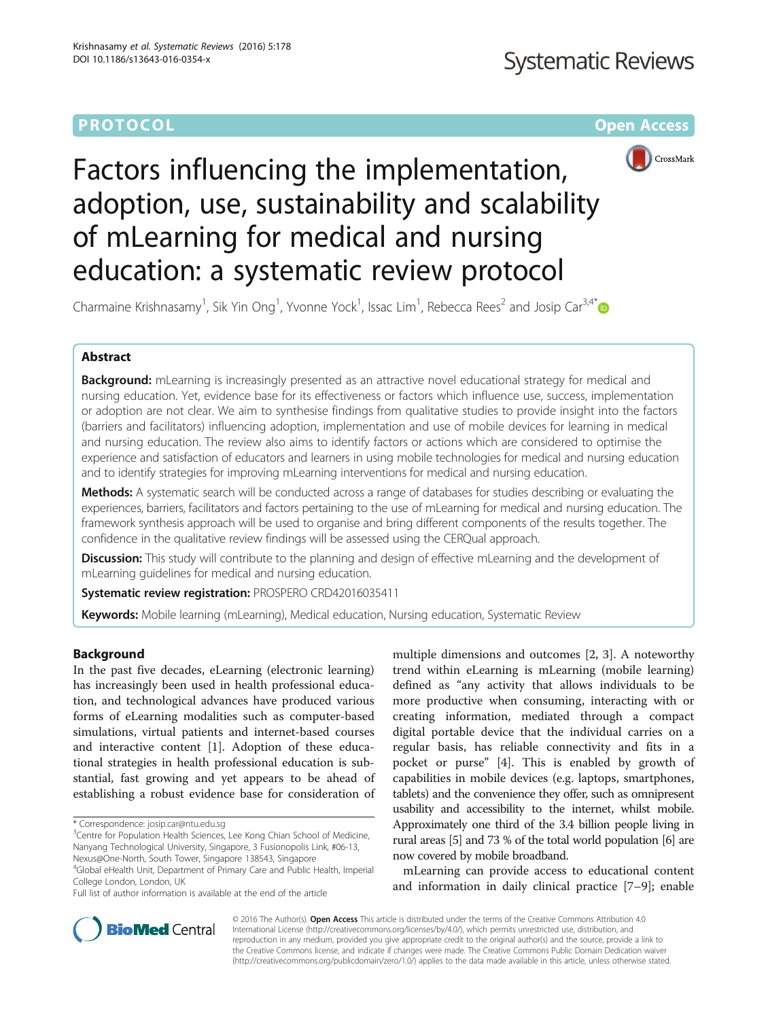# **PROTOCOL CONSUMING THE CONSUMING TEACHER CONSUMING THE CONSUMING TEACHER CONSUMING THE CONSUMING TEACHER CONSUMING THE CONSUMING TEACHER CONSUMING THE CONSUMING TEACHER CONSUMING THE CONSUMING TEACHER CONSUMING THE CONS**



# Factors influencing the implementation, adoption, use, sustainability and scalability of mLearning for medical and nursing education: a systematic review protocol

Charmaine Krishnasamy<sup>1</sup>, Sik Yin Ong<sup>1</sup>, Yvonne Yock<sup>1</sup>, Issac Lim<sup>1</sup>, Rebecca Rees<sup>2</sup> and Josip Car<sup>3,4\*</sup>

### Abstract

**Background:** mLearning is increasingly presented as an attractive novel educational strategy for medical and nursing education. Yet, evidence base for its effectiveness or factors which influence use, success, implementation or adoption are not clear. We aim to synthesise findings from qualitative studies to provide insight into the factors (barriers and facilitators) influencing adoption, implementation and use of mobile devices for learning in medical and nursing education. The review also aims to identify factors or actions which are considered to optimise the experience and satisfaction of educators and learners in using mobile technologies for medical and nursing education and to identify strategies for improving mLearning interventions for medical and nursing education.

Methods: A systematic search will be conducted across a range of databases for studies describing or evaluating the experiences, barriers, facilitators and factors pertaining to the use of mLearning for medical and nursing education. The framework synthesis approach will be used to organise and bring different components of the results together. The confidence in the qualitative review findings will be assessed using the CERQual approach.

**Discussion:** This study will contribute to the planning and design of effective mLearning and the development of mLearning guidelines for medical and nursing education.

Systematic review registration: PROSPERO [CRD42016035411](http://www.crd.york.ac.uk/PROSPERO/display_record.asp?ID=CRD42016035411)

**Keywords:** Mobile learning (mLearning), Medical education, Nursing education, Systematic Review

#### Background

In the past five decades, eLearning (electronic learning) has increasingly been used in health professional education, and technological advances have produced various forms of eLearning modalities such as computer-based simulations, virtual patients and internet-based courses and interactive content [\[1](#page-5-0)]. Adoption of these educational strategies in health professional education is substantial, fast growing and yet appears to be ahead of establishing a robust evidence base for consideration of multiple dimensions and outcomes [\[2,](#page-5-0) [3\]](#page-6-0). A noteworthy trend within eLearning is mLearning (mobile learning) defined as "any activity that allows individuals to be more productive when consuming, interacting with or creating information, mediated through a compact digital portable device that the individual carries on a regular basis, has reliable connectivity and fits in a pocket or purse" [[4\]](#page-6-0). This is enabled by growth of capabilities in mobile devices (e.g. laptops, smartphones, tablets) and the convenience they offer, such as omnipresent usability and accessibility to the internet, whilst mobile. Approximately one third of the 3.4 billion people living in rural areas [\[5\]](#page-6-0) and 73 % of the total world population [\[6](#page-6-0)] are now covered by mobile broadband.

mLearning can provide access to educational content and information in daily clinical practice [[7](#page-6-0)–[9](#page-6-0)]; enable



© 2016 The Author(s). Open Access This article is distributed under the terms of the Creative Commons Attribution 4.0 International License [\(http://creativecommons.org/licenses/by/4.0/](http://creativecommons.org/licenses/by/4.0/)), which permits unrestricted use, distribution, and reproduction in any medium, provided you give appropriate credit to the original author(s) and the source, provide a link to the Creative Commons license, and indicate if changes were made. The Creative Commons Public Domain Dedication waiver [\(http://creativecommons.org/publicdomain/zero/1.0/](http://creativecommons.org/publicdomain/zero/1.0/)) applies to the data made available in this article, unless otherwise stated.

<sup>\*</sup> Correspondence: [josip.car@ntu.edu.sg](mailto:josip.car@ntu.edu.sg) <sup>3</sup>

<sup>&</sup>lt;sup>3</sup> Centre for Population Health Sciences, Lee Kong Chian School of Medicine, Nanyang Technological University, Singapore, 3 Fusionopolis Link, #06-13, Nexus@One-North, South Tower, Singapore 138543, Singapore

<sup>4</sup> Global eHealth Unit, Department of Primary Care and Public Health, Imperial College London, London, UK

Full list of author information is available at the end of the article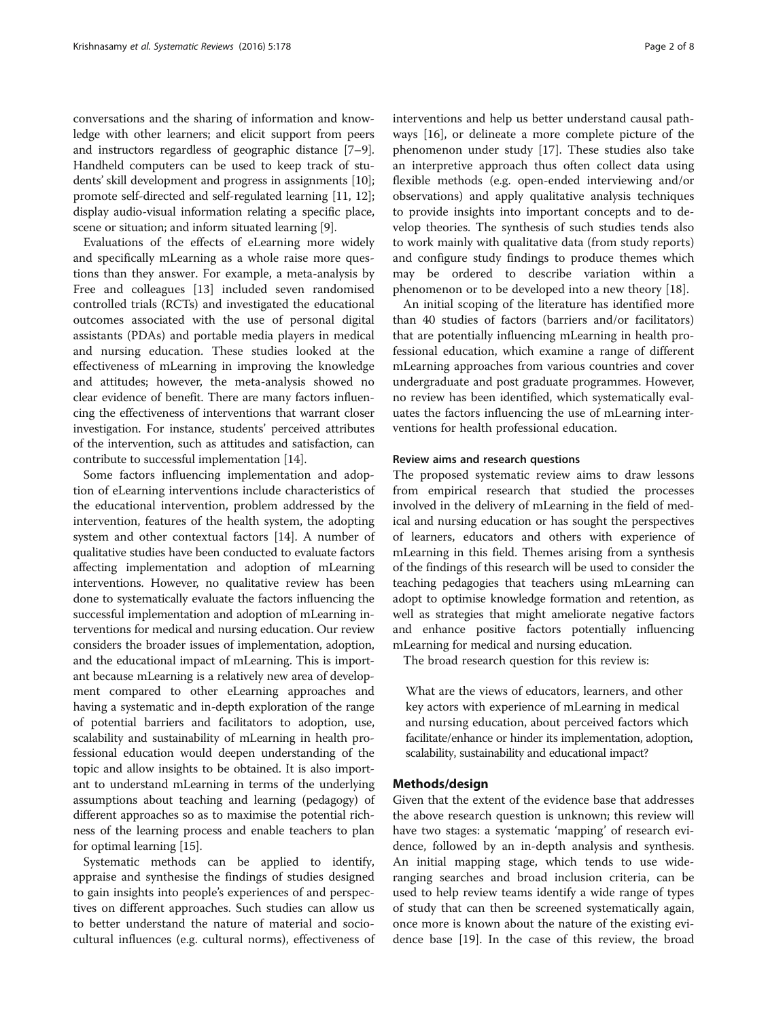conversations and the sharing of information and knowledge with other learners; and elicit support from peers and instructors regardless of geographic distance [[7](#page-6-0)–[9](#page-6-0)]. Handheld computers can be used to keep track of students' skill development and progress in assignments [[10](#page-6-0)]; promote self-directed and self-regulated learning [[11](#page-6-0), [12](#page-6-0)]; display audio-visual information relating a specific place, scene or situation; and inform situated learning [\[9](#page-6-0)].

Evaluations of the effects of eLearning more widely and specifically mLearning as a whole raise more questions than they answer. For example, a meta-analysis by Free and colleagues [[13\]](#page-6-0) included seven randomised controlled trials (RCTs) and investigated the educational outcomes associated with the use of personal digital assistants (PDAs) and portable media players in medical and nursing education. These studies looked at the effectiveness of mLearning in improving the knowledge and attitudes; however, the meta-analysis showed no clear evidence of benefit. There are many factors influencing the effectiveness of interventions that warrant closer investigation. For instance, students' perceived attributes of the intervention, such as attitudes and satisfaction, can contribute to successful implementation [\[14\]](#page-6-0).

Some factors influencing implementation and adoption of eLearning interventions include characteristics of the educational intervention, problem addressed by the intervention, features of the health system, the adopting system and other contextual factors [[14](#page-6-0)]. A number of qualitative studies have been conducted to evaluate factors affecting implementation and adoption of mLearning interventions. However, no qualitative review has been done to systematically evaluate the factors influencing the successful implementation and adoption of mLearning interventions for medical and nursing education. Our review considers the broader issues of implementation, adoption, and the educational impact of mLearning. This is important because mLearning is a relatively new area of development compared to other eLearning approaches and having a systematic and in-depth exploration of the range of potential barriers and facilitators to adoption, use, scalability and sustainability of mLearning in health professional education would deepen understanding of the topic and allow insights to be obtained. It is also important to understand mLearning in terms of the underlying assumptions about teaching and learning (pedagogy) of different approaches so as to maximise the potential richness of the learning process and enable teachers to plan for optimal learning [\[15\]](#page-6-0).

Systematic methods can be applied to identify, appraise and synthesise the findings of studies designed to gain insights into people's experiences of and perspectives on different approaches. Such studies can allow us to better understand the nature of material and sociocultural influences (e.g. cultural norms), effectiveness of interventions and help us better understand causal pathways [[16](#page-6-0)], or delineate a more complete picture of the phenomenon under study [[17\]](#page-6-0). These studies also take an interpretive approach thus often collect data using flexible methods (e.g. open-ended interviewing and/or observations) and apply qualitative analysis techniques to provide insights into important concepts and to develop theories. The synthesis of such studies tends also to work mainly with qualitative data (from study reports) and configure study findings to produce themes which may be ordered to describe variation within a phenomenon or to be developed into a new theory [\[18](#page-6-0)].

An initial scoping of the literature has identified more than 40 studies of factors (barriers and/or facilitators) that are potentially influencing mLearning in health professional education, which examine a range of different mLearning approaches from various countries and cover undergraduate and post graduate programmes. However, no review has been identified, which systematically evaluates the factors influencing the use of mLearning interventions for health professional education.

#### Review aims and research questions

The proposed systematic review aims to draw lessons from empirical research that studied the processes involved in the delivery of mLearning in the field of medical and nursing education or has sought the perspectives of learners, educators and others with experience of mLearning in this field. Themes arising from a synthesis of the findings of this research will be used to consider the teaching pedagogies that teachers using mLearning can adopt to optimise knowledge formation and retention, as well as strategies that might ameliorate negative factors and enhance positive factors potentially influencing mLearning for medical and nursing education.

The broad research question for this review is:

What are the views of educators, learners, and other key actors with experience of mLearning in medical and nursing education, about perceived factors which facilitate/enhance or hinder its implementation, adoption, scalability, sustainability and educational impact?

#### Methods/design

Given that the extent of the evidence base that addresses the above research question is unknown; this review will have two stages: a systematic 'mapping' of research evidence, followed by an in-depth analysis and synthesis. An initial mapping stage, which tends to use wideranging searches and broad inclusion criteria, can be used to help review teams identify a wide range of types of study that can then be screened systematically again, once more is known about the nature of the existing evidence base [[19\]](#page-6-0). In the case of this review, the broad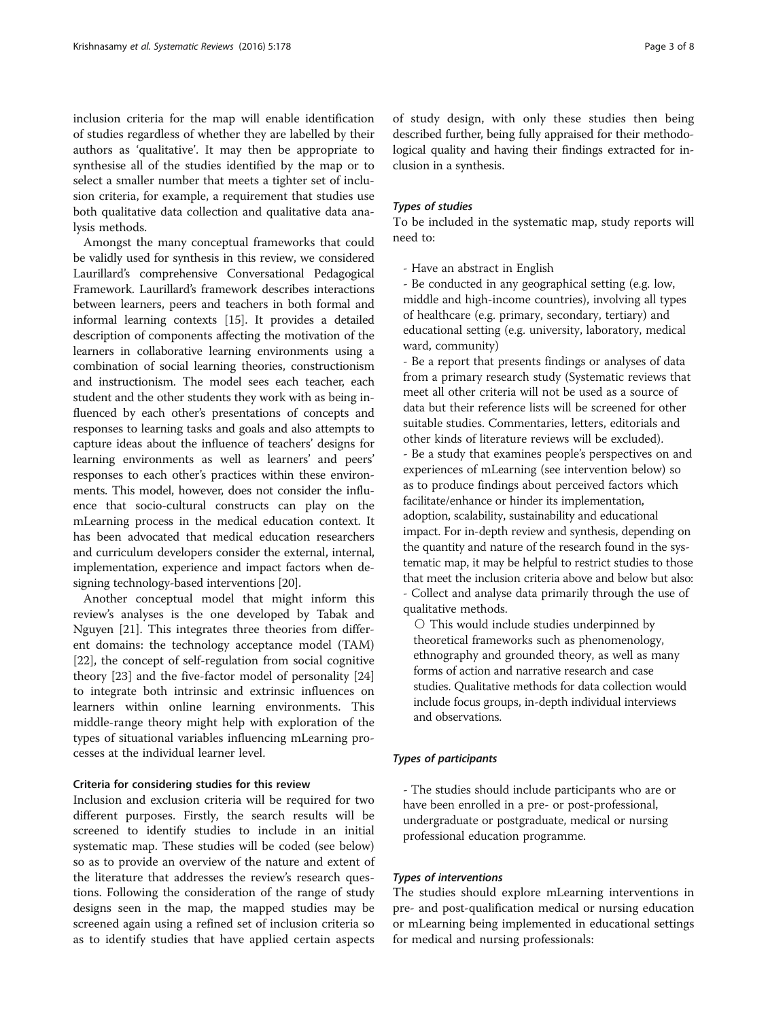inclusion criteria for the map will enable identification of studies regardless of whether they are labelled by their authors as 'qualitative'. It may then be appropriate to synthesise all of the studies identified by the map or to select a smaller number that meets a tighter set of inclusion criteria, for example, a requirement that studies use both qualitative data collection and qualitative data analysis methods.

Amongst the many conceptual frameworks that could be validly used for synthesis in this review, we considered Laurillard's comprehensive Conversational Pedagogical Framework. Laurillard's framework describes interactions between learners, peers and teachers in both formal and informal learning contexts [\[15\]](#page-6-0). It provides a detailed description of components affecting the motivation of the learners in collaborative learning environments using a combination of social learning theories, constructionism and instructionism. The model sees each teacher, each student and the other students they work with as being influenced by each other's presentations of concepts and responses to learning tasks and goals and also attempts to capture ideas about the influence of teachers' designs for learning environments as well as learners' and peers' responses to each other's practices within these environments. This model, however, does not consider the influence that socio-cultural constructs can play on the mLearning process in the medical education context. It has been advocated that medical education researchers and curriculum developers consider the external, internal, implementation, experience and impact factors when designing technology-based interventions [[20](#page-6-0)].

Another conceptual model that might inform this review's analyses is the one developed by Tabak and Nguyen [\[21](#page-6-0)]. This integrates three theories from different domains: the technology acceptance model (TAM) [[22\]](#page-6-0), the concept of self-regulation from social cognitive theory [\[23](#page-6-0)] and the five-factor model of personality [[24](#page-6-0)] to integrate both intrinsic and extrinsic influences on learners within online learning environments. This middle-range theory might help with exploration of the types of situational variables influencing mLearning processes at the individual learner level.

#### Criteria for considering studies for this review

Inclusion and exclusion criteria will be required for two different purposes. Firstly, the search results will be screened to identify studies to include in an initial systematic map. These studies will be coded (see below) so as to provide an overview of the nature and extent of the literature that addresses the review's research questions. Following the consideration of the range of study designs seen in the map, the mapped studies may be screened again using a refined set of inclusion criteria so as to identify studies that have applied certain aspects

of study design, with only these studies then being described further, being fully appraised for their methodological quality and having their findings extracted for inclusion in a synthesis.

#### Types of studies

To be included in the systematic map, study reports will need to:

- Have an abstract in English

- Be conducted in any geographical setting (e.g. low, middle and high-income countries), involving all types of healthcare (e.g. primary, secondary, tertiary) and educational setting (e.g. university, laboratory, medical ward, community)

- Be a report that presents findings or analyses of data from a primary research study (Systematic reviews that meet all other criteria will not be used as a source of data but their reference lists will be screened for other suitable studies. Commentaries, letters, editorials and other kinds of literature reviews will be excluded). - Be a study that examines people's perspectives on and experiences of mLearning (see intervention below) so as to produce findings about perceived factors which facilitate/enhance or hinder its implementation, adoption, scalability, sustainability and educational impact. For in-depth review and synthesis, depending on the quantity and nature of the research found in the systematic map, it may be helpful to restrict studies to those that meet the inclusion criteria above and below but also: - Collect and analyse data primarily through the use of qualitative methods.

○ This would include studies underpinned by theoretical frameworks such as phenomenology, ethnography and grounded theory, as well as many forms of action and narrative research and case studies. Qualitative methods for data collection would include focus groups, in-depth individual interviews and observations.

#### Types of participants

- The studies should include participants who are or have been enrolled in a pre- or post-professional, undergraduate or postgraduate, medical or nursing professional education programme.

#### Types of interventions

The studies should explore mLearning interventions in pre- and post-qualification medical or nursing education or mLearning being implemented in educational settings for medical and nursing professionals: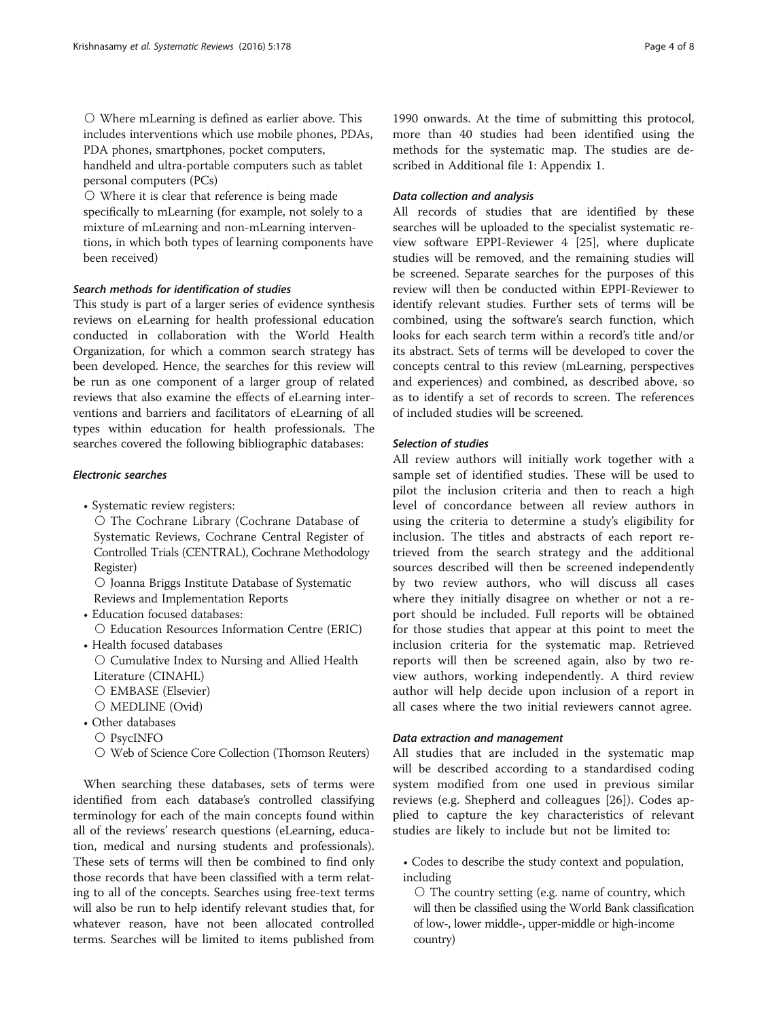○ Where mLearning is defined as earlier above. This includes interventions which use mobile phones, PDAs, PDA phones, smartphones, pocket computers, handheld and ultra-portable computers such as tablet

personal computers (PCs) ○ Where it is clear that reference is being made specifically to mLearning (for example, not solely to a mixture of mLearning and non-mLearning interventions, in which both types of learning components have been received)

#### Search methods for identification of studies

This study is part of a larger series of evidence synthesis reviews on eLearning for health professional education conducted in collaboration with the World Health Organization, for which a common search strategy has been developed. Hence, the searches for this review will be run as one component of a larger group of related reviews that also examine the effects of eLearning interventions and barriers and facilitators of eLearning of all types within education for health professionals. The searches covered the following bibliographic databases:

#### Electronic searches

• Systematic review registers:

○ The Cochrane Library (Cochrane Database of Systematic Reviews, Cochrane Central Register of Controlled Trials (CENTRAL), Cochrane Methodology Register)

○ Joanna Briggs Institute Database of Systematic Reviews and Implementation Reports

• Education focused databases: ○ Education Resources Information Centre (ERIC) • Health focused databases

○ Cumulative Index to Nursing and Allied Health Literature (CINAHL) ○ EMBASE (Elsevier)

- MEDLINE (Ovid)
- Other databases ○ PsycINFO
	- Web of Science Core Collection (Thomson Reuters)

When searching these databases, sets of terms were identified from each database's controlled classifying terminology for each of the main concepts found within all of the reviews' research questions (eLearning, education, medical and nursing students and professionals). These sets of terms will then be combined to find only those records that have been classified with a term relating to all of the concepts. Searches using free-text terms will also be run to help identify relevant studies that, for whatever reason, have not been allocated controlled terms. Searches will be limited to items published from

1990 onwards. At the time of submitting this protocol, more than 40 studies had been identified using the methods for the systematic map. The studies are described in Additional file [1](#page-5-0): Appendix 1.

#### Data collection and analysis

All records of studies that are identified by these searches will be uploaded to the specialist systematic review software EPPI-Reviewer 4 [[25](#page-6-0)], where duplicate studies will be removed, and the remaining studies will be screened. Separate searches for the purposes of this review will then be conducted within EPPI-Reviewer to identify relevant studies. Further sets of terms will be combined, using the software's search function, which looks for each search term within a record's title and/or its abstract. Sets of terms will be developed to cover the concepts central to this review (mLearning, perspectives and experiences) and combined, as described above, so as to identify a set of records to screen. The references of included studies will be screened.

#### Selection of studies

All review authors will initially work together with a sample set of identified studies. These will be used to pilot the inclusion criteria and then to reach a high level of concordance between all review authors in using the criteria to determine a study's eligibility for inclusion. The titles and abstracts of each report retrieved from the search strategy and the additional sources described will then be screened independently by two review authors, who will discuss all cases where they initially disagree on whether or not a report should be included. Full reports will be obtained for those studies that appear at this point to meet the inclusion criteria for the systematic map. Retrieved reports will then be screened again, also by two review authors, working independently. A third review author will help decide upon inclusion of a report in all cases where the two initial reviewers cannot agree.

#### Data extraction and management

All studies that are included in the systematic map will be described according to a standardised coding system modified from one used in previous similar reviews (e.g. Shepherd and colleagues [[26\]](#page-6-0)). Codes applied to capture the key characteristics of relevant studies are likely to include but not be limited to:

• Codes to describe the study context and population, including

○ The country setting (e.g. name of country, which will then be classified using the World Bank classification of low-, lower middle-, upper-middle or high-income country)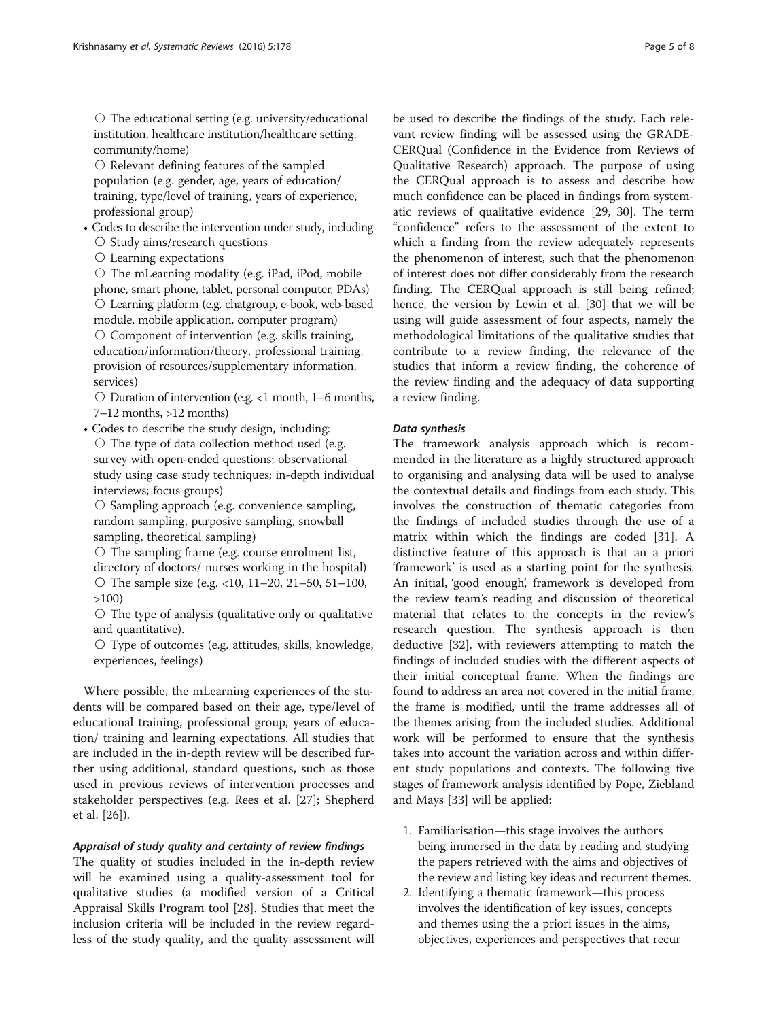○ The educational setting (e.g. university/educational institution, healthcare institution/healthcare setting, community/home)

○ Relevant defining features of the sampled population (e.g. gender, age, years of education/ training, type/level of training, years of experience, professional group)

- Codes to describe the intervention under study, including ○ Study aims/research questions
	- Learning expectations

○ The mLearning modality (e.g. iPad, iPod, mobile phone, smart phone, tablet, personal computer, PDAs) ○ Learning platform (e.g. chatgroup, e-book, web-based module, mobile application, computer program)  $\circ$  Component of intervention (e.g. skills training, education/information/theory, professional training, provision of resources/supplementary information, services)

 $\circ$  Duration of intervention (e.g. <1 month, 1–6 months, 7–12 months, >12 months)

• Codes to describe the study design, including: ○ The type of data collection method used (e.g. survey with open-ended questions; observational study using case study techniques; in-depth individual interviews; focus groups)

○ Sampling approach (e.g. convenience sampling, random sampling, purposive sampling, snowball sampling, theoretical sampling)

○ The sampling frame (e.g. course enrolment list, directory of doctors/ nurses working in the hospital) ○ The sample size (e.g. <10, 11–20, 21–50, 51–100, >100)

 $\circ$  The type of analysis (qualitative only or qualitative and quantitative).

○ Type of outcomes (e.g. attitudes, skills, knowledge, experiences, feelings)

Where possible, the mLearning experiences of the students will be compared based on their age, type/level of educational training, professional group, years of education/ training and learning expectations. All studies that are included in the in-depth review will be described further using additional, standard questions, such as those used in previous reviews of intervention processes and stakeholder perspectives (e.g. Rees et al. [[27\]](#page-6-0); Shepherd et al. [\[26](#page-6-0)]).

#### Appraisal of study quality and certainty of review findings

The quality of studies included in the in-depth review will be examined using a quality-assessment tool for qualitative studies (a modified version of a Critical Appraisal Skills Program tool [\[28\]](#page-6-0). Studies that meet the inclusion criteria will be included in the review regardless of the study quality, and the quality assessment will be used to describe the findings of the study. Each relevant review finding will be assessed using the GRADE-CERQual (Confidence in the Evidence from Reviews of Qualitative Research) approach. The purpose of using the CERQual approach is to assess and describe how much confidence can be placed in findings from system-

atic reviews of qualitative evidence [[29, 30](#page-6-0)]. The term "confidence" refers to the assessment of the extent to which a finding from the review adequately represents the phenomenon of interest, such that the phenomenon of interest does not differ considerably from the research finding. The CERQual approach is still being refined; hence, the version by Lewin et al. [\[30](#page-6-0)] that we will be using will guide assessment of four aspects, namely the methodological limitations of the qualitative studies that contribute to a review finding, the relevance of the studies that inform a review finding, the coherence of the review finding and the adequacy of data supporting a review finding.

#### Data synthesis

The framework analysis approach which is recommended in the literature as a highly structured approach to organising and analysing data will be used to analyse the contextual details and findings from each study. This involves the construction of thematic categories from the findings of included studies through the use of a matrix within which the findings are coded [\[31](#page-6-0)]. A distinctive feature of this approach is that an a priori 'framework' is used as a starting point for the synthesis. An initial, 'good enough', framework is developed from the review team's reading and discussion of theoretical material that relates to the concepts in the review's research question. The synthesis approach is then deductive [\[32\]](#page-6-0), with reviewers attempting to match the findings of included studies with the different aspects of their initial conceptual frame. When the findings are found to address an area not covered in the initial frame, the frame is modified, until the frame addresses all of the themes arising from the included studies. Additional work will be performed to ensure that the synthesis takes into account the variation across and within different study populations and contexts. The following five stages of framework analysis identified by Pope, Ziebland and Mays [\[33](#page-6-0)] will be applied:

- 1. Familiarisation—this stage involves the authors being immersed in the data by reading and studying the papers retrieved with the aims and objectives of the review and listing key ideas and recurrent themes.
- 2. Identifying a thematic framework—this process involves the identification of key issues, concepts and themes using the a priori issues in the aims, objectives, experiences and perspectives that recur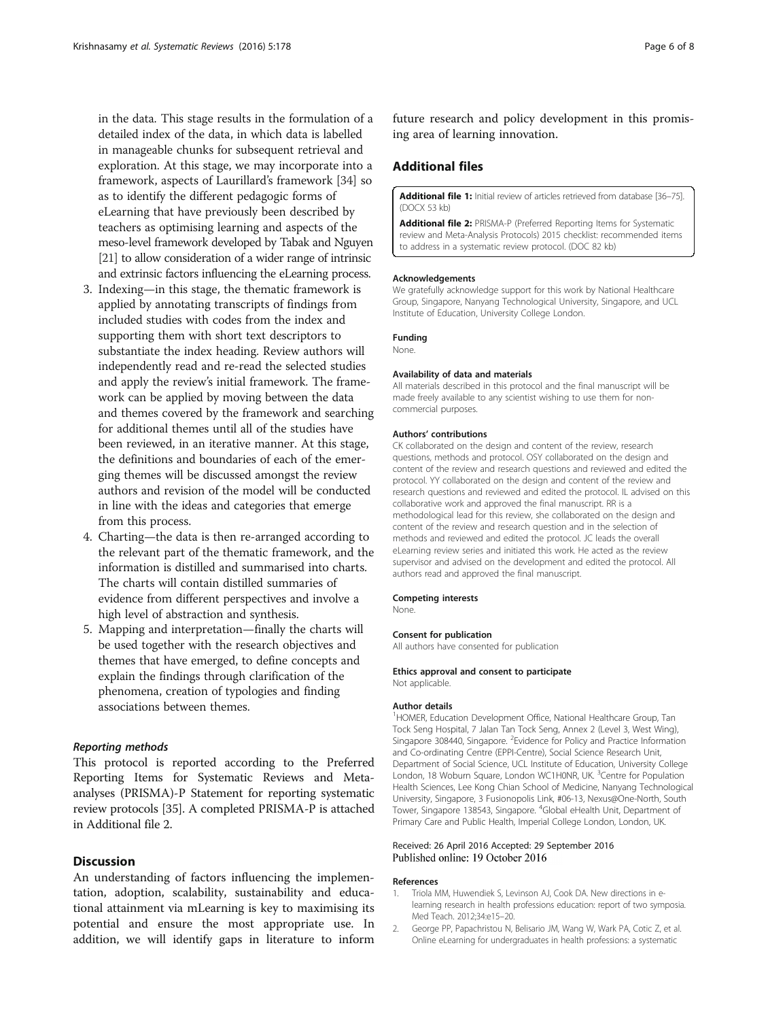<span id="page-5-0"></span>in the data. This stage results in the formulation of a detailed index of the data, in which data is labelled in manageable chunks for subsequent retrieval and exploration. At this stage, we may incorporate into a framework, aspects of Laurillard's framework [\[34\]](#page-6-0) so as to identify the different pedagogic forms of eLearning that have previously been described by teachers as optimising learning and aspects of the meso-level framework developed by Tabak and Nguyen [\[21\]](#page-6-0) to allow consideration of a wider range of intrinsic and extrinsic factors influencing the eLearning process.

- 3. Indexing—in this stage, the thematic framework is applied by annotating transcripts of findings from included studies with codes from the index and supporting them with short text descriptors to substantiate the index heading. Review authors will independently read and re-read the selected studies and apply the review's initial framework. The framework can be applied by moving between the data and themes covered by the framework and searching for additional themes until all of the studies have been reviewed, in an iterative manner. At this stage, the definitions and boundaries of each of the emerging themes will be discussed amongst the review authors and revision of the model will be conducted in line with the ideas and categories that emerge from this process.
- 4. Charting—the data is then re-arranged according to the relevant part of the thematic framework, and the information is distilled and summarised into charts. The charts will contain distilled summaries of evidence from different perspectives and involve a high level of abstraction and synthesis.
- 5. Mapping and interpretation—finally the charts will be used together with the research objectives and themes that have emerged, to define concepts and explain the findings through clarification of the phenomena, creation of typologies and finding associations between themes.

#### Reporting methods

This protocol is reported according to the Preferred Reporting Items for Systematic Reviews and Metaanalyses (PRISMA)-P Statement for reporting systematic review protocols [[35](#page-6-0)]. A completed PRISMA-P is attached in Additional file 2.

#### **Discussion**

An understanding of factors influencing the implementation, adoption, scalability, sustainability and educational attainment via mLearning is key to maximising its potential and ensure the most appropriate use. In addition, we will identify gaps in literature to inform

future research and policy development in this promising area of learning innovation.

#### Additional files

[Additional file 1:](dx.doi.org/10.1186/s13643-016-0354-x) Initial review of articles retrieved from database [\[36](#page-6-0)-[75\]](#page-7-0). (DOCX 53 kb)

[Additional file 2:](dx.doi.org/10.1186/s13643-016-0354-x) PRISMA-P (Preferred Reporting Items for Systematic review and Meta-Analysis Protocols) 2015 checklist: recommended items to address in a systematic review protocol. (DOC 82 kb)

#### Acknowledgements

We gratefully acknowledge support for this work by National Healthcare Group, Singapore, Nanyang Technological University, Singapore, and UCL Institute of Education, University College London.

#### Funding

None.

#### Availability of data and materials

All materials described in this protocol and the final manuscript will be made freely available to any scientist wishing to use them for noncommercial purposes.

#### Authors' contributions

CK collaborated on the design and content of the review, research questions, methods and protocol. OSY collaborated on the design and content of the review and research questions and reviewed and edited the protocol. YY collaborated on the design and content of the review and research questions and reviewed and edited the protocol. IL advised on this collaborative work and approved the final manuscript. RR is a methodological lead for this review, she collaborated on the design and content of the review and research question and in the selection of methods and reviewed and edited the protocol. JC leads the overall eLearning review series and initiated this work. He acted as the review supervisor and advised on the development and edited the protocol. All authors read and approved the final manuscript.

#### Competing interests

None.

#### Consent for publication

All authors have consented for publication

# Ethics approval and consent to participate

Not applicable.

#### Author details

<sup>1</sup>HOMER, Education Development Office, National Healthcare Group, Tan Tock Seng Hospital, 7 Jalan Tan Tock Seng, Annex 2 (Level 3, West Wing), Singapore 308440, Singapore. <sup>2</sup> Evidence for Policy and Practice Information and Co-ordinating Centre (EPPI-Centre), Social Science Research Unit, Department of Social Science, UCL Institute of Education, University College London, 18 Woburn Square, London WC1H0NR, UK.<sup>3</sup> Centre for Population Health Sciences, Lee Kong Chian School of Medicine, Nanyang Technological University, Singapore, 3 Fusionopolis Link, #06-13, Nexus@One-North, South Tower, Singapore 138543, Singapore. <sup>4</sup>Global eHealth Unit, Department of Primary Care and Public Health, Imperial College London, London, UK.

# Received: 26 April 2016 Accepted: 29 September 2016

#### References

- 1. Triola MM, Huwendiek S, Levinson AJ, Cook DA. New directions in elearning research in health professions education: report of two symposia. Med Teach. 2012;34:e15–20.
- 2. George PP, Papachristou N, Belisario JM, Wang W, Wark PA, Cotic Z, et al. Online eLearning for undergraduates in health professions: a systematic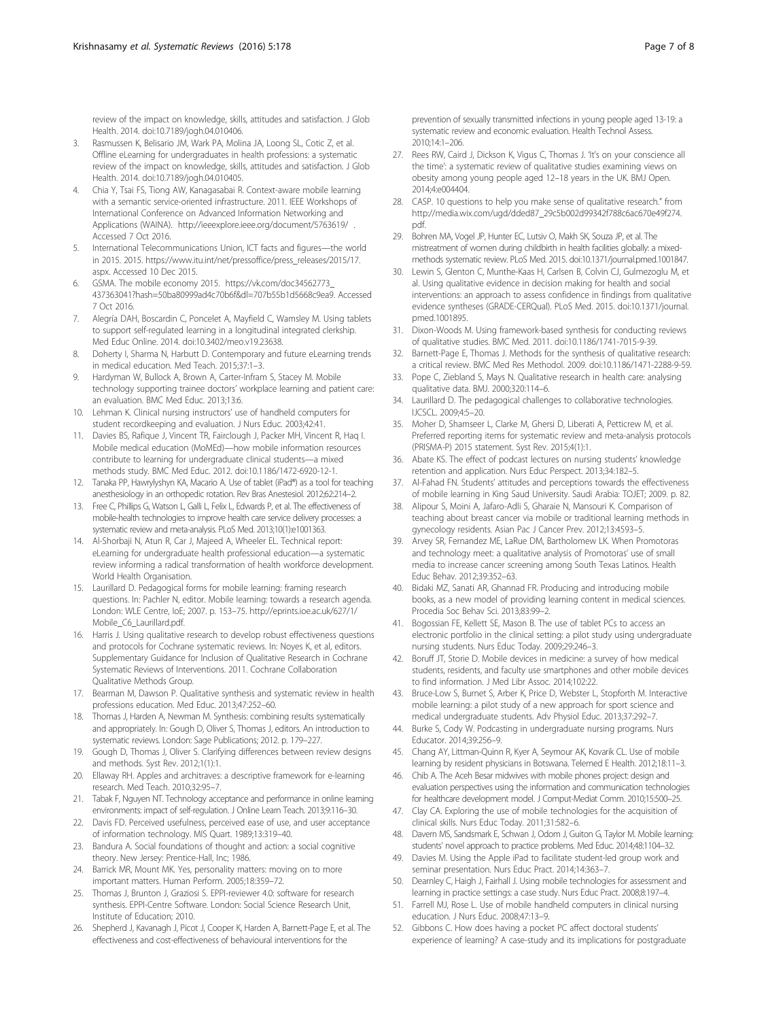<span id="page-6-0"></span>review of the impact on knowledge, skills, attitudes and satisfaction. J Glob Health. 2014. doi:[10.7189/jogh.04.010406](http://dx.doi.org/10.7189/jogh.04.010406).

- 3. Rasmussen K, Belisario JM, Wark PA, Molina JA, Loong SL, Cotic Z, et al. Offline eLearning for undergraduates in health professions: a systematic review of the impact on knowledge, skills, attitudes and satisfaction. J Glob Health. 2014. doi:[10.7189/jogh.04.010405](http://dx.doi.org/10.7189/jogh.04.010405).
- 4. Chia Y, Tsai FS, Tiong AW, Kanagasabai R. Context-aware mobile learning with a semantic service-oriented infrastructure. 2011. IEEE Workshops of International Conference on Advanced Information Networking and Applications (WAINA).<http://ieeexplore.ieee.org/document/5763619/> . Accessed 7 Oct 2016.
- 5. International Telecommunications Union, ICT facts and figures—the world in 2015. 2015. [https://www.itu.int/net/pressoffice/press\\_releases/2015/17.](https://www.itu.int/net/pressoffice/press_releases/2015/17.aspx) [aspx](https://www.itu.int/net/pressoffice/press_releases/2015/17.aspx). Accessed 10 Dec 2015.
- 6. GSMA. The mobile economy 2015. [https://vk.com/doc34562773\\_](https://vk.com/doc34562773_437363041?hash=50ba80999ad4c70b6f&dl=707b55b1d5668c9ea9) [437363041?hash=50ba80999ad4c70b6f&dl=707b55b1d5668c9ea9.](https://vk.com/doc34562773_437363041?hash=50ba80999ad4c70b6f&dl=707b55b1d5668c9ea9) Accessed 7 Oct 2016.
- 7. Alegría DAH, Boscardin C, Poncelet A, Mayfield C, Wamsley M. Using tablets to support self-regulated learning in a longitudinal integrated clerkship. Med Educ Online. 2014. doi:[10.3402/meo.v19.23638.](http://dx.doi.org/10.3402/meo.v19.23638)
- 8. Doherty I, Sharma N, Harbutt D. Contemporary and future eLearning trends in medical education. Med Teach. 2015;37:1–3.
- Hardyman W, Bullock A, Brown A, Carter-Infram S, Stacey M. Mobile technology supporting trainee doctors' workplace learning and patient care: an evaluation. BMC Med Educ. 2013;13:6.
- 10. Lehman K. Clinical nursing instructors' use of handheld computers for student recordkeeping and evaluation. J Nurs Educ. 2003;42:41.
- 11. Davies BS, Rafique J, Vincent TR, Fairclough J, Packer MH, Vincent R, Haq I. Mobile medical education (MoMEd)—how mobile information resources contribute to learning for undergraduate clinical students—a mixed methods study. BMC Med Educ. 2012. doi:[10.1186/1472-6920-12-1.](http://dx.doi.org/10.1186/1472-6920-12-1)
- 12. Tanaka PP, Hawrylyshyn KA, Macario A. Use of tablet (iPad®) as a tool for teaching anesthesiology in an orthopedic rotation. Rev Bras Anestesiol. 2012;62:214–2.
- 13. Free C, Phillips G, Watson L, Galli L, Felix L, Edwards P, et al. The effectiveness of mobile-health technologies to improve health care service delivery processes: a systematic review and meta-analysis. PLoS Med. 2013;10(1):e1001363.
- 14. Al-Shorbaji N, Atun R, Car J, Majeed A, Wheeler EL. Technical report: eLearning for undergraduate health professional education—a systematic review informing a radical transformation of health workforce development. World Health Organisation.
- 15. Laurillard D. Pedagogical forms for mobile learning: framing research questions. In: Pachler N, editor. Mobile learning: towards a research agenda. London: WLE Centre, IoE; 2007. p. 153–75. [http://eprints.ioe.ac.uk/627/1/](http://eprints.ioe.ac.uk/627/1/Mobile_C6_Laurillard.pdf) [Mobile\\_C6\\_Laurillard.pdf](http://eprints.ioe.ac.uk/627/1/Mobile_C6_Laurillard.pdf).
- 16. Harris J. Using qualitative research to develop robust effectiveness questions and protocols for Cochrane systematic reviews. In: Noyes K, et al, editors. Supplementary Guidance for Inclusion of Qualitative Research in Cochrane Systematic Reviews of Interventions. 2011. Cochrane Collaboration Qualitative Methods Group.
- 17. Bearman M, Dawson P. Qualitative synthesis and systematic review in health professions education. Med Educ. 2013;47:252–60.
- 18. Thomas J, Harden A, Newman M. Synthesis: combining results systematically and appropriately. In: Gough D, Oliver S, Thomas J, editors. An introduction to systematic reviews. London: Sage Publications; 2012. p. 179–227.
- 19. Gough D, Thomas J, Oliver S. Clarifying differences between review designs and methods. Syst Rev. 2012;1(1):1.
- 20. Ellaway RH. Apples and architraves: a descriptive framework for e-learning research. Med Teach. 2010;32:95–7.
- 21. Tabak F, Nguyen NT. Technology acceptance and performance in online learning environments: impact of self-regulation. J Online Learn Teach. 2013;9:116–30.
- Davis FD. Perceived usefulness, perceived ease of use, and user acceptance of information technology. MIS Quart. 1989;13:319–40.
- 23. Bandura A. Social foundations of thought and action: a social cognitive theory. New Jersey: Prentice-Hall, Inc; 1986.
- 24. Barrick MR, Mount MK. Yes, personality matters: moving on to more important matters. Human Perform. 2005;18:359–72.
- 25. Thomas J, Brunton J, Graziosi S. EPPI-reviewer 4.0: software for research synthesis. EPPI-Centre Software. London: Social Science Research Unit, Institute of Education; 2010.
- 26. Shepherd J, Kavanagh J, Picot J, Cooper K, Harden A, Barnett-Page E, et al. The effectiveness and cost-effectiveness of behavioural interventions for the

prevention of sexually transmitted infections in young people aged 13-19: a systematic review and economic evaluation. Health Technol Assess. 2010;14:1–206.

- 27. Rees RW, Caird J, Dickson K, Vigus C, Thomas J. 'It's on your conscience all the time': a systematic review of qualitative studies examining views on obesity among young people aged 12–18 years in the UK. BMJ Open. 2014;4:e004404.
- 28. CASP. 10 questions to help you make sense of qualitative research." from [http://media.wix.com/ugd/dded87\\_29c5b002d99342f788c6ac670e49f274.](http://media.wix.com/ugd/dded87_29c5b002d99342f788c6ac670e49f274.pdf) [pdf](http://media.wix.com/ugd/dded87_29c5b002d99342f788c6ac670e49f274.pdf).
- 29. Bohren MA, Vogel JP, Hunter EC, Lutsiv O, Makh SK, Souza JP, et al. The mistreatment of women during childbirth in health facilities globally: a mixedmethods systematic review. PLoS Med. 2015. doi[:10.1371/journal.pmed.1001847.](http://dx.doi.org/10.1371/journal.pmed.1001847)
- 30. Lewin S, Glenton C, Munthe-Kaas H, Carlsen B, Colvin CJ, Gulmezoglu M, et al. Using qualitative evidence in decision making for health and social interventions: an approach to assess confidence in findings from qualitative evidence syntheses (GRADE-CERQual). PLoS Med. 2015. doi[:10.1371/journal.](http://dx.doi.org/10.1371/journal.pmed.1001895) [pmed.1001895.](http://dx.doi.org/10.1371/journal.pmed.1001895)
- 31. Dixon-Woods M. Using framework-based synthesis for conducting reviews of qualitative studies. BMC Med. 2011. doi:[10.1186/1741-7015-9-39.](http://dx.doi.org/10.1186/1741-7015-9-39)
- 32. Barnett-Page E, Thomas J. Methods for the synthesis of qualitative research: a critical review. BMC Med Res Methodol. 2009. doi[:10.1186/1471-2288-9-59](http://dx.doi.org/10.1186/1471-2288-9-59).
- 33. Pope C, Ziebland S, Mays N. Qualitative research in health care: analysing qualitative data. BMJ. 2000;320:114–6.
- Laurillard D. The pedagogical challenges to collaborative technologies. IJCSCL. 2009;4:5–20.
- 35. Moher D, Shamseer L, Clarke M, Ghersi D, Liberati A, Petticrew M, et al. Preferred reporting items for systematic review and meta-analysis protocols (PRISMA-P) 2015 statement. Syst Rev. 2015;4(1):1.
- 36. Abate KS. The effect of podcast lectures on nursing students' knowledge retention and application. Nurs Educ Perspect. 2013;34:182–5.
- 37. Al-Fahad FN. Students' attitudes and perceptions towards the effectiveness of mobile learning in King Saud University. Saudi Arabia: TOJET; 2009. p. 82.
- 38. Alipour S, Moini A, Jafaro-Adli S, Gharaie N, Mansouri K. Comparison of teaching about breast cancer via mobile or traditional learning methods in gynecology residents. Asian Pac J Cancer Prev. 2012;13:4593–5.
- 39. Arvey SR, Fernandez ME, LaRue DM, Bartholomew LK. When Promotoras and technology meet: a qualitative analysis of Promotoras' use of small media to increase cancer screening among South Texas Latinos. Health Educ Behav. 2012;39:352–63.
- 40. Bidaki MZ, Sanati AR, Ghannad FR. Producing and introducing mobile books, as a new model of providing learning content in medical sciences. Procedia Soc Behav Sci. 2013;83:99–2.
- 41. Bogossian FE, Kellett SE, Mason B. The use of tablet PCs to access an electronic portfolio in the clinical setting: a pilot study using undergraduate nursing students. Nurs Educ Today. 2009;29:246–3.
- 42. Boruff JT, Storie D. Mobile devices in medicine: a survey of how medical students, residents, and faculty use smartphones and other mobile devices to find information. J Med Libr Assoc. 2014;102:22.
- 43. Bruce-Low S, Burnet S, Arber K, Price D, Webster L, Stopforth M. Interactive mobile learning: a pilot study of a new approach for sport science and medical undergraduate students. Adv Physiol Educ. 2013;37:292–7.
- 44. Burke S, Cody W. Podcasting in undergraduate nursing programs. Nurs Educator. 2014;39:256–9.
- 45. Chang AY, Littman-Quinn R, Kyer A, Seymour AK, Kovarik CL. Use of mobile learning by resident physicians in Botswana. Telemed E Health. 2012;18:11–3.
- 46. Chib A. The Aceh Besar midwives with mobile phones project: design and evaluation perspectives using the information and communication technologies for healthcare development model. J Comput-Mediat Comm. 2010;15:500–25.
- 47. Clay CA. Exploring the use of mobile technologies for the acquisition of clinical skills. Nurs Educ Today. 2011;31:582–6.
- 48. Davern MS, Sandsmark E, Schwan J, Odom J, Guiton G, Taylor M. Mobile learning: students' novel approach to practice problems. Med Educ. 2014;48:1104–32.
- 49. Davies M. Using the Apple iPad to facilitate student-led group work and seminar presentation. Nurs Educ Pract. 2014;14:363–7.
- 50. Dearnley C, Haigh J, Fairhall J. Using mobile technologies for assessment and learning in practice settings: a case study. Nurs Educ Pract. 2008;8:197–4.
- 51. Farrell MJ, Rose L. Use of mobile handheld computers in clinical nursing education. J Nurs Educ. 2008;47:13–9.
- 52. Gibbons C. How does having a pocket PC affect doctoral students' experience of learning? A case-study and its implications for postgraduate